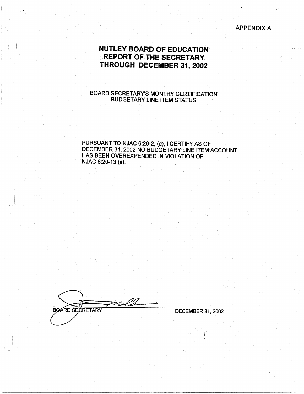#### **APPENDIX A**

# **NUTLEY BOARD OF EDUCATION** REPORT OF THE SECRETARY THROUGH DECEMBER 31, 2002

### **BOARD SECRETARY'S MONTHY CERTIFICATION BUDGETARY LINE ITEM STATUS**

PURSUANT TO NJAC 6:20-2, (d), I CERTIFY AS OF DECEMBER 31, 2002 NO BUDGETARY LINE ITEM ACCOUNT HAS BEEN OVEREXPENDED IN VIOLATION OF NJAC 6:20-13 (a).

rg/a **BOARD SECRETARY** 

DECEMBER 31, 2002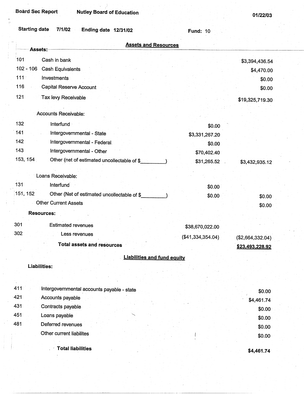. *(* 

| <b>Assets and Resources</b>                             |                   |                        |
|---------------------------------------------------------|-------------------|------------------------|
| Assets:                                                 |                   |                        |
| 101<br>Cash in bank                                     |                   | \$3,394,436.54         |
| $102 - 106$<br><b>Cash Equivalents</b>                  |                   | \$4,470.00             |
| 111:<br>Investments                                     |                   | \$0.00                 |
| 116<br>Capital Reserve Account                          |                   | \$0.00                 |
| 121<br>Tax levy Receivable                              |                   | \$19,325,719.30        |
|                                                         |                   |                        |
| <b>Accounts Receivable:</b>                             |                   |                        |
| 132<br>Interfund                                        | \$0.00            |                        |
| 141<br>Intergovernmental - State                        | \$3,331,267.20    |                        |
| 142<br>Intergovernmental - Federal                      | \$0.00            |                        |
| 143<br>Intergovernmental - Other                        | \$70,402.40       |                        |
| 153, 154<br>Other (net of estimated uncollectable of \$ | \$31,265.52       | \$3,432,935.12         |
| Loans Receivable:                                       |                   |                        |
| 131<br>Interfund                                        |                   |                        |
| 151, 152<br>Other (Net of estimated uncollectable of \$ | \$0.00            |                        |
| <b>Other Current Assets</b>                             | \$0.00            | \$0.00                 |
| <b>Resources:</b>                                       |                   | \$0.00                 |
|                                                         |                   |                        |
| 301<br><b>Estimated revenues</b>                        | \$38,670,022.00   |                        |
| 302<br>Less revenues                                    | (\$41,334,354.04) | (\$2,664,332.04)       |
| <b>Total assets and resources</b>                       |                   | <u>\$23,493,228.92</u> |
| <b>Liabilities and fund equity</b>                      |                   |                        |
| Liabilities:                                            |                   |                        |
|                                                         |                   |                        |
|                                                         |                   |                        |
| 411<br>Intergovernmental accounts payable - state       |                   | \$0.00                 |
| 421<br>Accounts payable                                 |                   | \$4,461.74             |
| 431<br>Contracts payable                                |                   | \$0.00                 |
| 451<br>Loans payable                                    |                   | \$0.00                 |
| 481<br>Deferred revenues                                |                   | \$0.00                 |
| Other current liabilites                                |                   | \$0.00                 |
| <b>Total liabilities</b>                                |                   |                        |
|                                                         |                   | \$4,461.74             |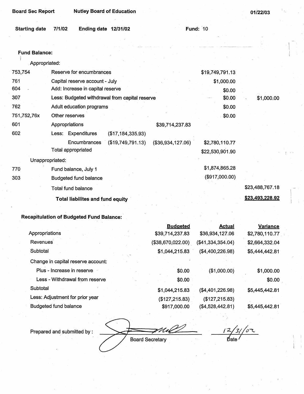| <b>Board Sec Report</b>               | <b>Nutley Board of Education</b>                                                   |                   |                   | 01/22/03        |
|---------------------------------------|------------------------------------------------------------------------------------|-------------------|-------------------|-----------------|
| <b>Starting date</b>                  | 7/1/02<br>Ending date 12/31/02                                                     |                   | <b>Fund: 10</b>   |                 |
|                                       |                                                                                    |                   |                   |                 |
| <b>Fund Balance:</b><br>Appropriated: |                                                                                    |                   |                   |                 |
| 753,754                               | Reserve for encumbrances                                                           |                   | \$19,749,791.13   |                 |
| 761                                   | Capital reserve account - July                                                     |                   | \$1,000.00        |                 |
| 604<br>307                            | Add: Increase in capital reserve<br>Less: Budgeted withdrawal from capital reserve |                   | \$0.00<br>\$0.00  | \$1,000.00      |
| 762                                   | Adult education programs                                                           |                   | \$0.00            |                 |
| 751,752,76x                           | Other reserves                                                                     |                   | \$0.00            |                 |
| 601                                   | Appropriations                                                                     | \$39,714,237.83   |                   |                 |
| 602                                   | Less: Expenditures<br>(\$17,184,335.93)                                            |                   |                   |                 |
|                                       | Encumbrances<br>(\$19,749,791.13)                                                  | (\$36,934,127.06) | \$2,780,110.77    |                 |
|                                       | <b>Total appropriated</b>                                                          |                   | \$22,530,901.90   |                 |
|                                       | Unappropriated:                                                                    |                   |                   |                 |
| 770                                   | Fund balance, July 1                                                               |                   | \$1,874,865.28    |                 |
| 303                                   | <b>Budgeted fund balance</b>                                                       |                   | (\$917,000.00)    |                 |
|                                       | <b>Total fund balance</b>                                                          |                   |                   | \$23,488,767.18 |
|                                       | <b>Total liabilites and fund equity</b>                                            |                   |                   | \$23,493,228.92 |
|                                       | <b>Recapitulation of Budgeted Fund Balance:</b>                                    |                   |                   |                 |
|                                       |                                                                                    | <b>Budgeted</b>   | <b>Actual</b>     | <b>Variance</b> |
| Appropriations                        |                                                                                    | \$39,714,237.83   | \$36,934,127.06   | \$2,780,110.77  |
| Revenues                              |                                                                                    | (\$38,670,022.00) | (\$41,334,354.04) | \$2,664,332.04  |
| Subtotal                              |                                                                                    | \$1,044,215.83    | (\$4,400,226.98)  | \$5,444,442.81  |

Change in capital reserve account: Plus - Increase in reserve Less - Withdrawal from reserve Subtotal

Less: Adjustment for prior year **Budgeted fund balance** 

 $($1,000.00)$ \$0.00  $$0.00$ \$1,044,215.83  $(\$4,401,226.98)$  $($127,215.83)$  $($127,215.83)$ \$917,000.00  $($4,528,442.81)$ 

12

\$1,000.00

\$5,445,442.81

\$5,445,442.81

\$0.00

Prepared and submitted by:

**Board Secretary**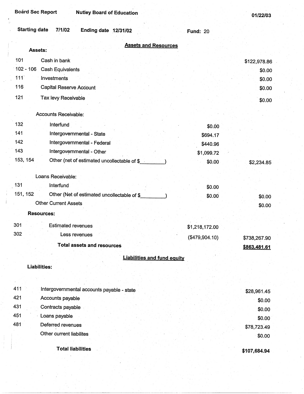**Board Sec Report Mutley Board of Education** 

**01/22/03** 

| <b>Starting date</b><br>7/1/02<br><b>Ending date 12/31/02</b>                                                                                              | <b>Fund: 20</b> |                                            |
|------------------------------------------------------------------------------------------------------------------------------------------------------------|-----------------|--------------------------------------------|
| <b>Assets and Resources</b><br>Assets:                                                                                                                     |                 |                                            |
| 101<br>Cash in bank<br>$102 - 106$<br><b>Cash Equivalents</b><br>111<br>Investments<br>116<br><b>Capital Reserve Account</b><br>121<br>Tax levy Receivable |                 | \$122,978.86<br>\$0.00<br>\$0.00<br>\$0.00 |
|                                                                                                                                                            |                 | \$0.00                                     |
| <b>Accounts Receivable:</b>                                                                                                                                |                 |                                            |
| 132<br>Interfund                                                                                                                                           | \$0.00          |                                            |
| 141<br>Intergovernmental - State                                                                                                                           | \$694.17        |                                            |
| 142<br>Intergovernmental - Federal                                                                                                                         | \$440.96        |                                            |
| 143<br>Intergovernmental - Other                                                                                                                           | \$1,099.72      |                                            |
| 153, 154<br>Other (net of estimated uncollectable of \$                                                                                                    | \$0.00          | \$2,234.85                                 |
| Loans Receivable:                                                                                                                                          |                 |                                            |
| 131<br>Interfund                                                                                                                                           | \$0.00          |                                            |
| 151, 152<br>Other (Net of estimated uncollectable of \$<br><b>Other Current Assets</b>                                                                     | \$0.00          | \$0.00<br>\$0.00                           |
| <b>Resources:</b>                                                                                                                                          |                 |                                            |
| 301<br><b>Estimated revenues</b>                                                                                                                           | \$1,218,172.00  |                                            |
| 302<br>Less revenues                                                                                                                                       | (\$479,904.10)  | \$738,267.90                               |
| <b>Total assets and resources</b>                                                                                                                          |                 | \$863,481.61                               |
| <b>Liabilities and fund equity</b>                                                                                                                         |                 |                                            |
| <b>Liabilities:</b>                                                                                                                                        |                 |                                            |
|                                                                                                                                                            |                 |                                            |
| 411<br>Intergovernmental accounts payable - state                                                                                                          |                 | \$28,961.45                                |
| 421<br>Accounts payable                                                                                                                                    |                 | \$0.00                                     |
| 431<br>Contracts payable                                                                                                                                   |                 | \$0.00                                     |
| 451<br>Loans payable                                                                                                                                       |                 | \$0.00                                     |
| 481<br>Deferred revenues                                                                                                                                   |                 | \$78,723.49                                |
| Other current liabilites                                                                                                                                   |                 | \$0.00                                     |
| <b>Total liabilities</b>                                                                                                                                   |                 | \$107,684.94                               |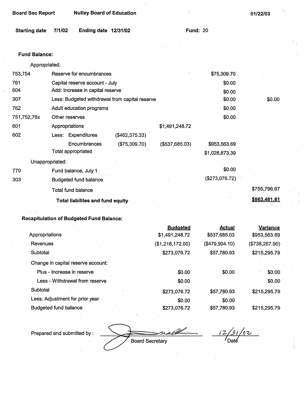| <b>Board Sec Report</b> | <b>Nutley Board of Education</b>                           |                   |                                | 01/22/03        |
|-------------------------|------------------------------------------------------------|-------------------|--------------------------------|-----------------|
| <b>Starting date</b>    | 7/1/02<br><b>Ending date 12/31/02</b>                      | Fund: $20$        |                                |                 |
| <b>Fund Balance:</b>    |                                                            |                   |                                |                 |
| Appropriated:           |                                                            |                   |                                |                 |
| 753,754                 | Reserve for encumbrances                                   |                   | \$75,309.70                    |                 |
| 761                     | Capital reserve account - July                             |                   | \$0.00                         |                 |
| 604                     | Add: Increase in capital reserve                           |                   | \$0.00                         |                 |
| 307                     | Less: Budgeted withdrawal from capital reserve             |                   | \$0.00                         | \$0.00          |
| 762                     | Adult education programs                                   |                   | \$0.00                         |                 |
| 751,752,76x             | Other reserves                                             |                   | \$0.00                         |                 |
| 601                     | Appropriations                                             | \$1,491,248.72    |                                |                 |
| 602                     | Less: Expenditures<br>(\$462,375.33)                       |                   |                                |                 |
|                         | Encumbrances<br>(\$75,309.70)<br><b>Total appropriated</b> | $($ \$537,685.03) | \$953,563.69<br>\$1,028,873.39 |                 |
|                         | Unappropriated:                                            |                   |                                |                 |
| 770                     | Fund balance, July 1                                       |                   | \$0.00                         |                 |
| 303                     | <b>Budgeted fund balance</b>                               |                   | $(\$273,076.72)$               |                 |
|                         | <b>Total fund balance</b>                                  |                   |                                | \$755,796.67    |
|                         | <b>Total liabilites and fund equity</b>                    |                   |                                | \$863,481.61    |
|                         | <b>Recapitulation of Budgeted Fund Balance:</b>            |                   |                                |                 |
|                         |                                                            | <b>Budgeted</b>   | <b>Actual</b>                  | <b>Variance</b> |
| Appropriations          |                                                            | \$1,491,248.72    | \$537,685.03                   | \$953,563.69    |
| Revenues                |                                                            | (\$1,218,172.00)  | (\$479,904.10)                 | (\$738,267.90)  |

Change in capital reserve account: Plus - Increase in reserve Less - Withdrawal from reserve **Subtotal** 

Less: Adjustment for prior year Budgeted fund balance

**Subtotal** 

 $\frac{12/31/02}{\sqrt{2}}$ 

Prepared and submitted by :

**Board Secretary** 

\$273,076.72

\$273,076.72

\$273,076.72

\$0.00 \$0.00

\$0.00

\$0.00

\$57,780.93

\$57,780.93

\$0.00 \$57,780.93

\$0.00 \$215,295.79

\$215,295.79

' \$0.00

\$215,295.79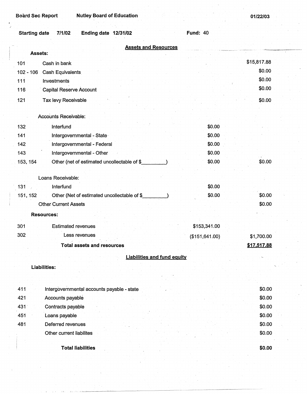| <b>Board Sec Report</b>                                                          | <b>Nutley Board of Education</b>             |                  | 01/22/03         |
|----------------------------------------------------------------------------------|----------------------------------------------|------------------|------------------|
| <b>Starting date</b><br>7/1/02                                                   | Ending date 12/31/02                         | <b>Fund: 40</b>  |                  |
|                                                                                  | <b>Assets and Resources</b>                  |                  |                  |
| <b>Assets:</b>                                                                   |                                              |                  |                  |
| 101<br>Cash in bank                                                              |                                              |                  | \$15,817.88      |
| $102 - 106$<br>Cash Equivalents                                                  |                                              |                  | \$0.00           |
| 111<br>Investments                                                               |                                              |                  | \$0.00           |
| <b>Capital Reserve Account</b><br>116                                            |                                              |                  | \$0.00           |
| 121<br>Tax levy Receivable                                                       |                                              |                  | \$0.00           |
| <b>Accounts Receivable:</b>                                                      |                                              |                  |                  |
| 132<br>Interfund                                                                 |                                              | \$0.00           |                  |
| 141                                                                              | Intergovernmental - State                    | \$0.00           |                  |
| 142                                                                              | Intergovernmental - Federal                  | \$0.00           |                  |
| 143                                                                              | Intergovernmental - Other                    | \$0.00           |                  |
| 153, 154                                                                         | Other (net of estimated uncollectable of \$_ | \$0.00           | \$0.00           |
| Loans Receivable:<br>Interfund<br>131<br>151, 152<br><b>Other Current Assets</b> | Other (Net of estimated uncollectable of \$  | \$0.00<br>\$0.00 | \$0.00<br>\$0.00 |
| <b>Resources:</b>                                                                |                                              |                  |                  |
| 301<br><b>Estimated revenues</b>                                                 |                                              | \$153,341.00     |                  |
| 302                                                                              | Less revenues                                | (\$151, 641.00)  | \$1,700.00       |
|                                                                                  | <b>Total assets and resources</b>            |                  | \$17,517.88      |
|                                                                                  |                                              |                  |                  |
|                                                                                  | <b>Liabilities and fund equity</b>           |                  |                  |
| <b>Liabilities:</b>                                                              |                                              |                  |                  |
|                                                                                  |                                              |                  |                  |
| 411                                                                              | Intergovernmental accounts payable - state   |                  | \$0.00           |
| 421<br>Accounts payable                                                          |                                              |                  | \$0.00           |
| 431<br>Contracts payable                                                         |                                              |                  | \$0.00           |
| 451<br>Loans payable                                                             |                                              |                  | \$0.00           |
| 481<br>Deferred revenues                                                         |                                              |                  | \$0.00           |
| Other current liabilites                                                         |                                              |                  | \$0.00           |
|                                                                                  |                                              |                  |                  |

-~---~ -------~----- ---~---~~~~

**Total liabilities** 

**\$0.00**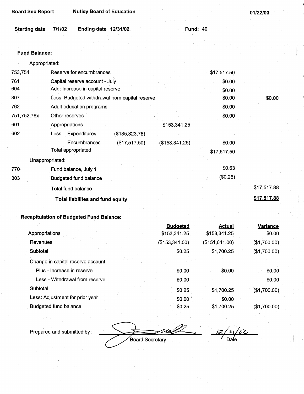| <b>Board Sec Report</b> | <b>Nutley Board of Education</b>               |                |                 |             | 01/22/03    |
|-------------------------|------------------------------------------------|----------------|-----------------|-------------|-------------|
| <b>Starting date</b>    | 7/1/02<br>Ending date 12/31/02                 |                | <b>Fund: 40</b> |             |             |
| <b>Fund Balance:</b>    |                                                |                |                 |             |             |
| Appropriated:           |                                                |                |                 |             |             |
| 753,754                 | Reserve for encumbrances                       |                |                 | \$17,517.50 |             |
| 761                     | Capital reserve account - July                 |                |                 | \$0.00      |             |
| 604                     | Add: Increase in capital reserve               |                |                 | \$0.00      |             |
| 307                     | Less: Budgeted withdrawal from capital reserve |                |                 | \$0.00      | \$0.00      |
| 762                     | Adult education programs                       |                |                 | \$0.00      |             |
| 751,752,76x             | Other reserves                                 |                |                 | \$0.00      |             |
| 601                     | Appropriations                                 |                | \$153,341.25    |             |             |
| 602                     | Less: Expenditures                             | (\$135,823.75) |                 |             |             |
|                         | Encumbrances                                   | (\$17,517.50)  | (\$153,341.25)  | \$0.00      |             |
|                         | <b>Total appropriated</b>                      |                |                 | \$17,517.50 |             |
| Unappropriated:         |                                                |                |                 |             |             |
| 770                     | Fund balance, July 1                           |                |                 | \$0.63      |             |
| 303                     | <b>Budgeted fund balance</b>                   |                |                 | (\$0.25)    |             |
|                         | Total fund balance                             |                |                 |             | \$17,517.88 |
|                         | <b>Total liabilites and fund equity</b>        |                |                 |             | \$17,517.88 |

### **Recapitulation of Budgeted** Fund **Balance:**

|                                    | <b>Budgeted</b> | <b>Actual</b>   | Variance     |
|------------------------------------|-----------------|-----------------|--------------|
| Appropriations                     | \$153,341.25    | \$153,341.25    | \$0.00       |
| Revenues                           | (\$153,341.00)  | (\$151, 641.00) | (\$1,700.00) |
| Subtotal                           | \$0.25          | \$1,700.25      | (\$1,700.00) |
| Change in capital reserve account: |                 |                 |              |
| Plus - Increase in reserve         | \$0.00          | \$0.00          | \$0.00       |
| Less - Withdrawal from reserve     | \$0.00          |                 | \$0.00       |
| Subtotal                           | \$0.25          | \$1,700.25      | (\$1,700.00) |
| Less: Adjustment for prior year    | \$0.00          | \$0.00          |              |
| <b>Budgeted fund balance</b>       | \$0.25          | \$1,700.25      | (\$1,700.00) |

Prepared and submitted by :

2 lor Board Secretary

 $\frac{12/31/82}{2}$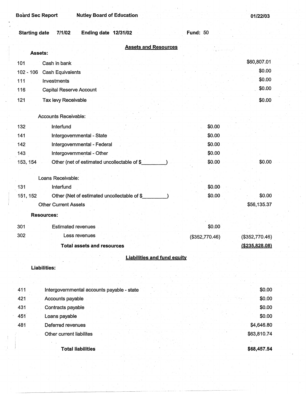| <b>Nutley Board of Education</b><br><b>Board Sec Report</b>  |                 | 01/22/03       |
|--------------------------------------------------------------|-----------------|----------------|
| 7/1/02<br>Ending date 12/31/02<br><b>Starting date</b>       | <b>Fund: 50</b> |                |
| <b>Assets and Resources</b><br><b>Assets:</b>                |                 |                |
|                                                              |                 | \$60,807.01    |
| 101<br>Cash in bank                                          |                 | \$0.00         |
| $102 - 106$<br><b>Cash Equivalents</b><br>111<br>Investments |                 | \$0.00         |
| 116<br><b>Capital Reserve Account</b>                        |                 | \$0.00         |
|                                                              |                 |                |
| 121<br>Tax levy Receivable                                   |                 | \$0.00         |
| <b>Accounts Receivable:</b>                                  |                 |                |
| 132<br>Interfund                                             | \$0.00          |                |
| 141<br>Intergovernmental - State                             | \$0.00          |                |
| 142<br>Intergovernmental - Federal                           | \$0.00          |                |
| 143<br>Intergovernmental - Other                             | \$0.00          |                |
| Other (net of estimated uncollectable of \$<br>153, 154      | \$0.00          | \$0.00         |
|                                                              |                 |                |
| Loans Receivable:                                            |                 |                |
| 131<br>Interfund                                             | \$0.00          |                |
| Other (Net of estimated uncollectable of \$<br>151, 152      | \$0.00          | \$0.00         |
| <b>Other Current Assets</b>                                  |                 | \$56,135.37    |
| <b>Resources:</b>                                            |                 |                |
| 301<br><b>Estimated revenues</b>                             | \$0.00          |                |
| 302<br>Less revenues                                         | (\$352,770.46)  | (\$352,770.46) |
| <b>Total assets and resources</b>                            |                 | (\$235,828.08) |

## **Liabilities and fund equity**

#### **Liabilities:**

| 411 | Intergovernmental accounts payable - state |  | \$0.00      |
|-----|--------------------------------------------|--|-------------|
| 421 | Accounts payable                           |  | \$0.00      |
| 431 | Contracts payable                          |  | \$0.00      |
| 451 | Loans payable                              |  | \$0.00      |
| 481 | Deferred revenues                          |  | \$4,646.80  |
|     | Other current liabilites                   |  | \$63,810.74 |
|     |                                            |  |             |
|     | <b>Total liabilities</b>                   |  | \$68,457.54 |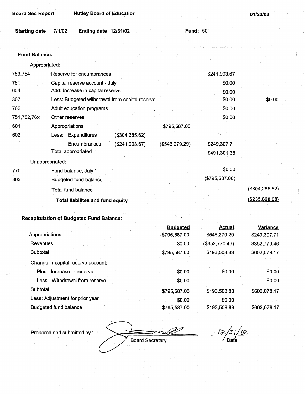| <b>Board Sec Report</b> |        | <b>Nutley Board of Education</b> |                 | 01/22/03 |  |
|-------------------------|--------|----------------------------------|-----------------|----------|--|
|                         |        |                                  |                 |          |  |
| <b>Starting date</b>    | 7/1/02 | Ending date 12/31/02             | <b>Fund: 50</b> |          |  |

#### Fund **Balance:**

| Appropriated: |                                                |                 |                 |                |                  |
|---------------|------------------------------------------------|-----------------|-----------------|----------------|------------------|
| 753,754       | Reserve for encumbrances                       |                 |                 | \$241,993.67   |                  |
| 761           | - Capital reserve account - July               |                 |                 | \$0.00         |                  |
| 604           | Add: Increase in capital reserve               |                 |                 | \$0.00         |                  |
| 307           | Less: Budgeted withdrawal from capital reserve |                 |                 | \$0.00         | \$0.00           |
| 762           | Adult education programs                       |                 |                 | \$0.00         |                  |
| 751,752,76x   | Other reserves                                 |                 |                 | \$0.00         |                  |
| 601           | Appropriations                                 |                 | \$795,587.00    |                |                  |
| 602           | Less: Expenditures                             | (\$304, 285.62) |                 |                |                  |
|               | Encumbrances                                   | (\$241,993.67)  | (\$546, 279.29) | \$249,307.71   |                  |
|               | Total appropriated                             |                 |                 | \$491,301.38   |                  |
|               | Unappropriated:                                |                 |                 |                |                  |
| 770           | Fund balance, July 1                           |                 |                 | \$0.00         |                  |
| 303           | <b>Budgeted fund balance</b>                   |                 |                 | (\$795,587.00) |                  |
|               | <b>Total fund balance</b>                      |                 |                 |                | (\$304, 285.62)  |
|               | <b>Total liabilites and fund equity</b>        |                 |                 |                | ( \$235, 828.08) |
|               |                                                |                 |                 |                |                  |

### **Recapitulation Qf Budgeted Fund Balance:**

|                                    | <b>Budgeted</b> | <b>Actual</b>  | <b>Variance</b> |
|------------------------------------|-----------------|----------------|-----------------|
| Appropriations                     | \$795,587.00    | \$546,279.29   | \$249,307.71    |
| Revenues                           | \$0.00          | (\$352,770.46) | \$352,770.46    |
| Subtotal                           | \$795,587.00    | \$193,508.83   | \$602,078.17    |
| Change in capital reserve account: |                 |                |                 |
| Plus - Increase in reserve         | \$0.00          | \$0.00         | \$0.00          |
| Less - Withdrawal from reserve     | \$0.00          |                | \$0.00          |
| Subtotal                           | \$795,587.00    | \$193,508.83   | \$602,078.17    |
| Less: Adjustment for prior year    | \$0.00          | \$0.00         |                 |
| <b>Budgeted fund balance</b>       | \$795,587.00    | \$193,508.83   | \$602,078.17    |

Prepared and submitted by :  $\frac{12/31/62}{\sqrt{31/62}}$ Board Secretary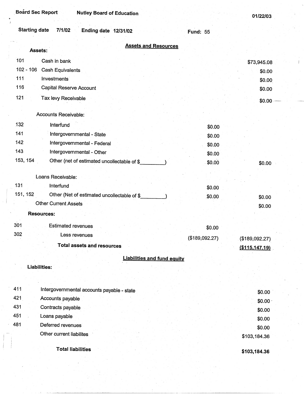**01/22/03** 

| <b>Starting date</b><br>7/1/02<br><b>Ending date 12/31/02</b>                                                                                                                                                                                                | <b>Fund: 55</b>            |                                                                             |
|--------------------------------------------------------------------------------------------------------------------------------------------------------------------------------------------------------------------------------------------------------------|----------------------------|-----------------------------------------------------------------------------|
| <b>Assets and Resources</b>                                                                                                                                                                                                                                  |                            |                                                                             |
| Assets:<br>101<br>Cash in bank<br>$102 - 106$<br><b>Cash Equivalents</b><br>111<br><b>Investments</b><br>116<br><b>Capital Reserve Account</b><br>121<br>Tax levy Receivable<br>Accounts Receivable:<br>132<br>Interfund<br>141<br>Intergovernmental - State | \$0.00<br>\$0.00           | \$73,945.08<br>\$0.00<br>\$0.00<br>\$0.00<br>\$0.00                         |
| 142<br>Intergovernmental - Federal<br>143<br>Intergovernmental - Other<br>153, 154<br>Other (net of estimated uncollectable of \$                                                                                                                            | \$0.00<br>\$0.00<br>\$0.00 | \$0.00                                                                      |
| Loans Receivable:<br>131<br>Interfund<br>151, 152<br>Other (Net of estimated uncollectable of \$<br><b>Other Current Assets</b><br><b>Resources:</b>                                                                                                         | \$0.00<br>\$0.00           | \$0.00<br>\$0.00                                                            |
| 301<br><b>Estimated revenues</b><br>302<br>Less revenues<br>Total assets and resources                                                                                                                                                                       | \$0.00<br>(\$189,092.27)   | (\$189,092.27)<br>(\$115,147.19)                                            |
| <b>Liabilities and fund equity</b><br>Liabilities:                                                                                                                                                                                                           |                            |                                                                             |
| 411<br>Intergovernmental accounts payable - state<br>421<br>Accounts payable<br>431<br>Contracts payable<br>451<br>Loans payable<br>481<br>Deferred revenues<br>Other current liabilites                                                                     |                            | \$0.00<br>\$0.00 <sub>1</sub><br>\$0.00<br>\$0.00<br>\$0.00<br>\$103,184.36 |
| <b>Total liabilities</b>                                                                                                                                                                                                                                     |                            | \$103,184.36                                                                |